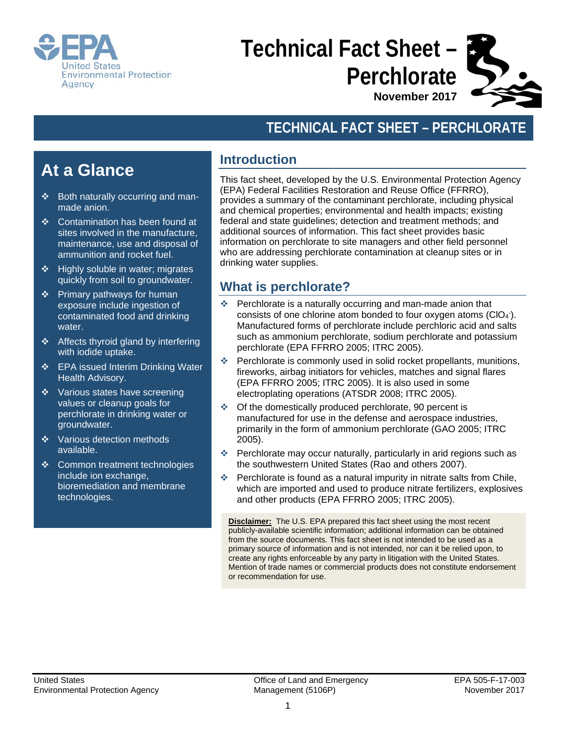

# **Technical Fact Sheet – Perchlorate**

**November 2017**

## **TECHNICAL FACT SHEET – PERCHLORATE**

# **At a Glance**

- $\div$  Both naturally occurring and manmade anion.
- Contamination has been found at sites involved in the manufacture, maintenance, use and disposal of ammunition and rocket fuel.
- $\div$  Highly soluble in water; migrates quickly from soil to groundwater.
- Primary pathways for human exposure include ingestion of contaminated food and drinking water.
- ❖ Affects thyroid gland by interfering with iodide uptake.
- ❖ EPA issued Interim Drinking Water Health Advisory.
- Various states have screening values or cleanup goals for perchlorate in drinking water or groundwater.
- $\cdot$  Various detection methods available.
- ❖ Common treatment technologies include ion exchange, bioremediation and membrane technologies.

### **Introduction**

This fact sheet, developed by the U.S. Environmental Protection Agency (EPA) Federal Facilities Restoration and Reuse Office (FFRRO), provides a summary of the contaminant perchlorate, including physical and chemical properties; environmental and health impacts; existing federal and state guidelines; detection and treatment methods; and additional sources of information. This fact sheet provides basic information on perchlorate to site managers and other field personnel who are addressing perchlorate contamination at cleanup sites or in drinking water supplies.

#### **What is perchlorate?**

- Perchlorate is a naturally occurring and man-made anion that consists of one chlorine atom bonded to four oxygen atoms  $(CIO<sub>4</sub>)$ . Manufactured forms of perchlorate include perchloric acid and salts such as ammonium perchlorate, sodium perchlorate and potassium perchlorate (EPA FFRRO 2005; ITRC 2005).
- Perchlorate is commonly used in solid rocket propellants, munitions, fireworks, airbag initiators for vehicles, matches and signal flares (EPA FFRRO 2005; ITRC 2005). It is also used in some electroplating operations (ATSDR 2008; ITRC 2005).
- Of the domestically produced perchlorate, 90 percent is manufactured for use in the defense and aerospace industries, primarily in the form of ammonium perchlorate (GAO 2005; ITRC 2005).
- Perchlorate may occur naturally, particularly in arid regions such as the southwestern United States (Rao and others 2007).
- Perchlorate is found as a natural impurity in nitrate salts from Chile, which are imported and used to produce nitrate fertilizers, explosives and other products (EPA FFRRO 2005; ITRC 2005).

**Disclaimer:** The U.S. EPA prepared this fact sheet using the most recent publicly-available scientific information; additional information can be obtained from the source documents. This fact sheet is not intended to be used as a primary source of information and is not intended, nor can it be relied upon, to create any rights enforceable by any party in litigation with the United States. Mention of trade names or commercial products does not constitute endorsement or recommendation for use.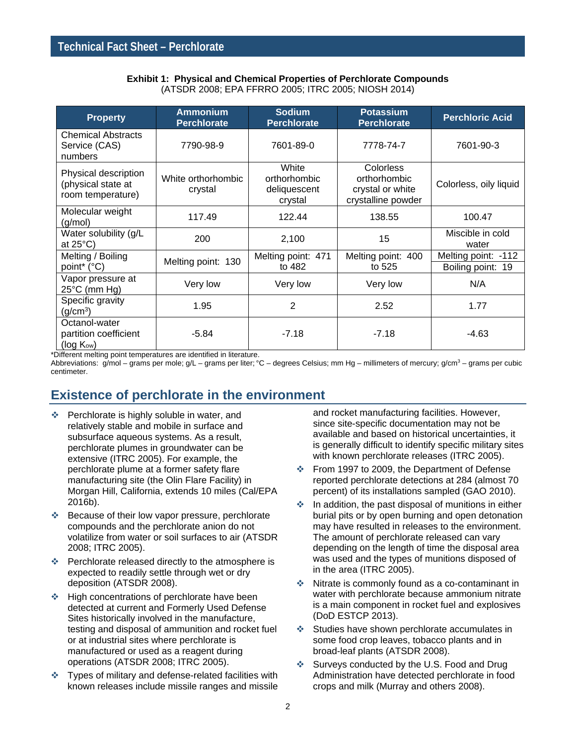#### **Exhibit 1: Physical and Chemical Properties of Perchlorate Compounds** (ATSDR 2008; EPA FFRRO 2005; ITRC 2005; NIOSH 2014)

| <b>Property</b>                                                  | <b>Ammonium</b><br><b>Perchlorate</b> | <b>Sodium</b><br><b>Perchlorate</b>              | <b>Potassium</b><br><b>Perchlorate</b>                                     | <b>Perchloric Acid</b>                   |
|------------------------------------------------------------------|---------------------------------------|--------------------------------------------------|----------------------------------------------------------------------------|------------------------------------------|
| <b>Chemical Abstracts</b><br>Service (CAS)<br>numbers            | 7790-98-9                             | 7601-89-0                                        | 7778-74-7                                                                  | 7601-90-3                                |
| Physical description<br>(physical state at<br>room temperature)  | White orthorhombic<br>crystal         | White<br>orthorhombic<br>deliquescent<br>crystal | <b>Colorless</b><br>orthorhombic<br>crystal or white<br>crystalline powder | Colorless, oily liquid                   |
| Molecular weight<br>(g/mol)                                      | 117.49                                | 122.44                                           | 138.55                                                                     | 100.47                                   |
| Water solubility (g/L<br>at $25^{\circ}$ C)                      | 200                                   | 2,100                                            | 15                                                                         | Miscible in cold<br>water                |
| Melting / Boiling<br>point* (°C)                                 | Melting point: 130                    | Melting point: 471<br>to 482                     | Melting point: 400<br>to 525                                               | Melting point: -112<br>Boiling point: 19 |
| Vapor pressure at<br>$25^{\circ}$ C (mm Hg)                      | Very low                              | Very low                                         | Very low                                                                   | N/A                                      |
| Specific gravity<br>(q/cm <sup>3</sup> )                         | 1.95                                  | 2                                                | 2.52                                                                       | 1.77                                     |
| Octanol-water<br>partition coefficient<br>(log K <sub>ow</sub> ) | $-5.84$                               | $-7.18$                                          | $-7.18$                                                                    | $-4.63$                                  |

\*Different melting point temperatures are identified in literature.

Abbreviations: g/mol – grams per mole; g/L – grams per liter; °C – degrees Celsius; mm Hg – millimeters of mercury; g/cm<sup>3</sup> – grams per cubic centimeter.

#### **Existence of perchlorate in the environment**

- **EXEC** Perchlorate is highly soluble in water, and relatively stable and mobile in surface and subsurface aqueous systems. As a result, perchlorate plumes in groundwater can be extensive (ITRC 2005). For example, the perchlorate plume at a former safety flare manufacturing site (the Olin Flare Facility) in Morgan Hill, California, extends 10 miles (Cal/EPA 2016b).
- ❖ Because of their low vapor pressure, perchlorate compounds and the perchlorate anion do not volatilize from water or soil surfaces to air (ATSDR 2008; ITRC 2005).
- Perchlorate released directly to the atmosphere is expected to readily settle through wet or dry deposition (ATSDR 2008).
- **Ex** High concentrations of perchlorate have been detected at current and Formerly Used Defense Sites historically involved in the manufacture, testing and disposal of ammunition and rocket fuel or at industrial sites where perchlorate is manufactured or used as a reagent during operations (ATSDR 2008; ITRC 2005).
- Types of military and defense-related facilities with known releases include missile ranges and missile

and rocket manufacturing facilities. However, since site-specific documentation may not be available and based on historical uncertainties, it is generally difficult to identify specific military sites with known perchlorate releases (ITRC 2005).

- From 1997 to 2009, the Department of Defense reported perchlorate detections at 284 (almost 70 percent) of its installations sampled (GAO 2010).
- $\cdot$  In addition, the past disposal of munitions in either burial pits or by open burning and open detonation may have resulted in releases to the environment. The amount of perchlorate released can vary depending on the length of time the disposal area was used and the types of munitions disposed of in the area (ITRC 2005).
- Nitrate is commonly found as a co-contaminant in water with perchlorate because ammonium nitrate is a main component in rocket fuel and explosives (DoD ESTCP 2013).
- Studies have shown perchlorate accumulates in some food crop leaves, tobacco plants and in broad-leaf plants (ATSDR 2008).
- ❖ Surveys conducted by the U.S. Food and Drug Administration have detected perchlorate in food crops and milk (Murray and others 2008).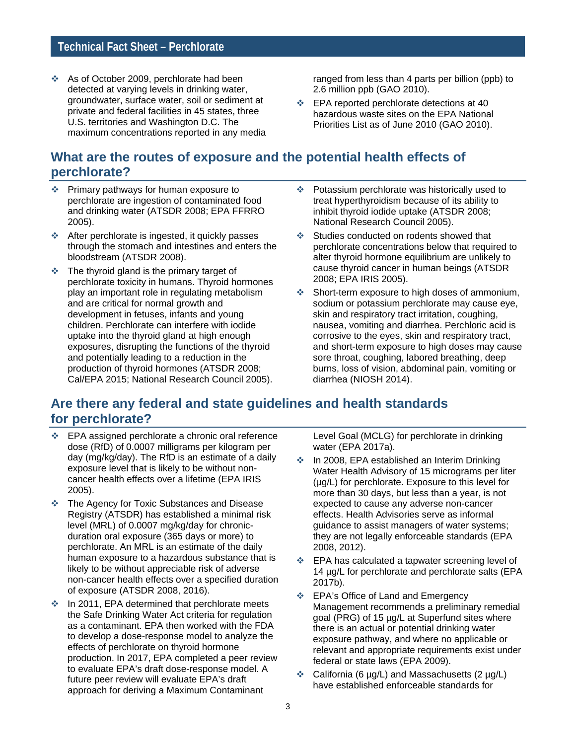As of October 2009, perchlorate had been detected at varying levels in drinking water, groundwater, surface water, soil or sediment at private and federal facilities in 45 states, three U.S. territories and Washington D.C. The maximum concentrations reported in any media ranged from less than 4 parts per billion (ppb) to 2.6 million ppb (GAO 2010).

**EPA reported perchlorate detections at 40** hazardous waste sites on the EPA National Priorities List as of June 2010 (GAO 2010).

#### **What are the routes of exposure and the potential health effects of perchlorate?**

- Primary pathways for human exposure to perchlorate are ingestion of contaminated food and drinking water (ATSDR 2008; EPA FFRRO 2005).
- After perchlorate is ingested, it quickly passes through the stomach and intestines and enters the bloodstream (ATSDR 2008).
- $\cdot$  The thyroid gland is the primary target of perchlorate toxicity in humans. Thyroid hormones play an important role in regulating metabolism and are critical for normal growth and development in fetuses, infants and young children. Perchlorate can interfere with iodide uptake into the thyroid gland at high enough exposures, disrupting the functions of the thyroid and potentially leading to a reduction in the production of thyroid hormones (ATSDR 2008; Cal/EPA 2015; National Research Council 2005).
- Potassium perchlorate was historically used to treat hyperthyroidism because of its ability to inhibit thyroid iodide uptake (ATSDR 2008; National Research Council 2005).
- Studies conducted on rodents showed that perchlorate concentrations below that required to alter thyroid hormone equilibrium are unlikely to cause thyroid cancer in human beings (ATSDR 2008; EPA IRIS 2005).
- Short-term exposure to high doses of ammonium, sodium or potassium perchlorate may cause eye, skin and respiratory tract irritation, coughing, nausea, vomiting and diarrhea. Perchloric acid is corrosive to the eyes, skin and respiratory tract, and short-term exposure to high doses may cause sore throat, coughing, labored breathing, deep burns, loss of vision, abdominal pain, vomiting or diarrhea (NIOSH 2014).

#### **Are there any federal and state guidelines and health standards for perchlorate?**

- EPA assigned perchlorate a chronic oral reference dose (RfD) of 0.0007 milligrams per kilogram per day (mg/kg/day). The RfD is an estimate of a daily exposure level that is likely to be without noncancer health effects over a lifetime (EPA IRIS 2005).
- The Agency for Toxic Substances and Disease Registry (ATSDR) has established a minimal risk level (MRL) of 0.0007 mg/kg/day for chronicduration oral exposure (365 days or more) to perchlorate. An MRL is an estimate of the daily human exposure to a hazardous substance that is likely to be without appreciable risk of adverse non-cancer health effects over a specified duration of exposure (ATSDR 2008, 2016).
- **↑** In 2011, EPA determined that perchlorate meets the Safe Drinking Water Act criteria for regulation as a contaminant. EPA then worked with the FDA to develop a dose-response model to analyze the effects of perchlorate on thyroid hormone production. In 2017, EPA completed a peer review to evaluate EPA's draft dose-response model. A future peer review will evaluate EPA's draft approach for deriving a Maximum Contaminant

Level Goal (MCLG) for perchlorate in drinking water (EPA 2017a).

- **↑** In 2008, EPA established an Interim Drinking Water Health Advisory of 15 micrograms per liter (µg/L) for perchlorate. Exposure to this level for more than 30 days, but less than a year, is not expected to cause any adverse non-cancer effects. Health Advisories serve as informal guidance to assist managers of water systems; they are not legally enforceable standards (EPA 2008, 2012).
- EPA has calculated a tapwater screening level of 14 µg/L for perchlorate and perchlorate salts (EPA 2017b).
- **EPA's Office of Land and Emergency** Management recommends a preliminary remedial goal (PRG) of 15 µg/L at Superfund sites where there is an actual or potential drinking water exposure pathway, and where no applicable or relevant and appropriate requirements exist under federal or state laws (EPA 2009).
- $\div$  California (6 µg/L) and Massachusetts (2 µg/L) have established enforceable standards for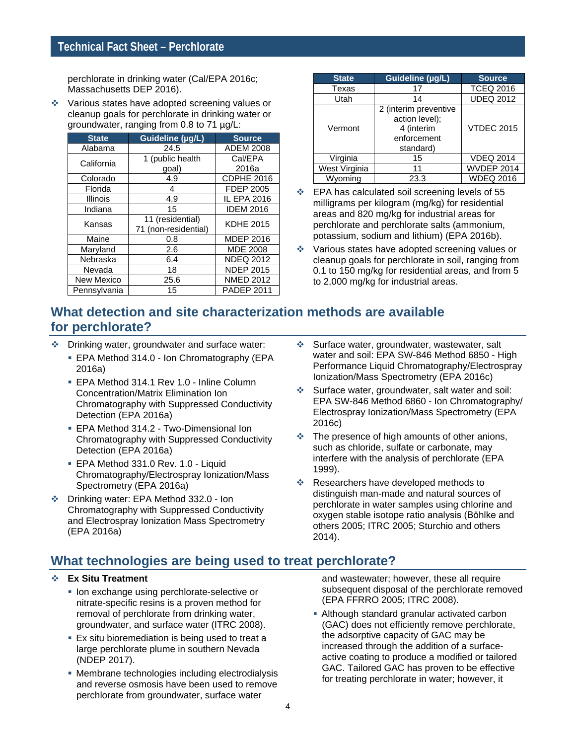perchlorate in drinking water (Cal/EPA 2016c; Massachusetts DEP 2016).

\* Various states have adopted screening values or cleanup goals for perchlorate in drinking water or groundwater, ranging from 0.8 to 71 µg/L:

| <b>State</b>    | Guideline (µg/L)     | <b>Source</b>      |  |  |  |
|-----------------|----------------------|--------------------|--|--|--|
| Alabama         | 24.5                 | ADEM 2008          |  |  |  |
| California      | 1 (public health     | Cal/EPA            |  |  |  |
|                 | goal)                | 2016a              |  |  |  |
| Colorado        | 4.9                  | CDPHE 2016         |  |  |  |
| Florida         | 4                    | <b>FDEP 2005</b>   |  |  |  |
| <b>Illinois</b> | 4.9                  | <b>IL EPA 2016</b> |  |  |  |
| Indiana         | 15                   | <b>IDEM 2016</b>   |  |  |  |
| Kansas          | 11 (residential)     | <b>KDHE 2015</b>   |  |  |  |
|                 | 71 (non-residential) |                    |  |  |  |
| Maine           | 0.8                  | <b>MDEP 2016</b>   |  |  |  |
| Maryland        | 2.6                  | <b>MDE 2008</b>    |  |  |  |
| Nebraska        | 6.4                  | <b>NDEQ 2012</b>   |  |  |  |
| Nevada          | 18                   | <b>NDEP 2015</b>   |  |  |  |
| New Mexico      | 25.6                 | <b>NMED 2012</b>   |  |  |  |
| Pennsylvania    | 15                   | <b>PADEP 2011</b>  |  |  |  |

| <b>State</b>  | Guideline (µg/L)                                                                               | <b>Source</b>     |
|---------------|------------------------------------------------------------------------------------------------|-------------------|
| Texas         | 17                                                                                             | <b>TCEQ 2016</b>  |
| Utah          | 14                                                                                             | <b>UDEQ 2012</b>  |
| Vermont       | $\overline{2}$ (interim preventive<br>action level);<br>4 (interim<br>enforcement<br>standard) | <b>VTDEC 2015</b> |
| Virginia      | 15                                                                                             | <b>VDEQ 2014</b>  |
| West Virginia | 11                                                                                             | <b>WVDEP 2014</b> |
| Wyomina       | 23.3                                                                                           | <b>WDEQ 2016</b>  |

- EPA has calculated soil screening levels of 55 milligrams per kilogram (mg/kg) for residential areas and 820 mg/kg for industrial areas for perchlorate and perchlorate salts (ammonium, potassium, sodium and lithium) (EPA 2016b).
- Various states have adopted screening values or cleanup goals for perchlorate in soil, ranging from 0.1 to 150 mg/kg for residential areas, and from 5 to 2,000 mg/kg for industrial areas.

#### **What detection and site characterization methods are available for perchlorate?**

- Drinking water, groundwater and surface water:
	- **EPA Method 314.0 Ion Chromatography (EPA** 2016a)
	- EPA Method 314.1 Rev 1.0 Inline Column Concentration/Matrix Elimination Ion Chromatography with Suppressed Conductivity Detection (EPA 2016a)
	- EPA Method 314.2 Two-Dimensional Ion Chromatography with Suppressed Conductivity Detection (EPA 2016a)
	- EPA Method 331.0 Rev. 1.0 Liquid Chromatography/Electrospray Ionization/Mass Spectrometry (EPA 2016a)
- Drinking water: EPA Method 332.0 Ion Chromatography with Suppressed Conductivity and Electrospray Ionization Mass Spectrometry (EPA 2016a)
- Surface water, groundwater, wastewater, salt water and soil: EPA SW-846 Method 6850 - High Performance Liquid Chromatography/Electrospray Ionization/Mass Spectrometry (EPA 2016c)
- Surface water, groundwater, salt water and soil: EPA SW-846 Method 6860 - Ion Chromatography/ Electrospray Ionization/Mass Spectrometry (EPA 2016c)
- $\cdot$  The presence of high amounts of other anions, such as chloride, sulfate or carbonate, may interfere with the analysis of perchlorate (EPA 1999).
- **Exerchers have developed methods to** distinguish man-made and natural sources of perchlorate in water samples using chlorine and oxygen stable isotope ratio analysis (Bŏhlke and others 2005; ITRC 2005; Sturchio and others 2014).

## **What technologies are being used to treat perchlorate?**

#### **Ex Situ Treatment**

- **Ion exchange using perchlorate-selective or** nitrate-specific resins is a proven method for removal of perchlorate from drinking water, groundwater, and surface water (ITRC 2008).
- **Ex situ bioremediation is being used to treat a** large perchlorate plume in southern Nevada (NDEP 2017).
- Membrane technologies including electrodialysis and reverse osmosis have been used to remove perchlorate from groundwater, surface water

and wastewater; however, these all require subsequent disposal of the perchlorate removed (EPA FFRRO 2005; ITRC 2008).

 Although standard granular activated carbon (GAC) does not efficiently remove perchlorate, the adsorptive capacity of GAC may be increased through the addition of a surfaceactive coating to produce a modified or tailored GAC. Tailored GAC has proven to be effective for treating perchlorate in water; however, it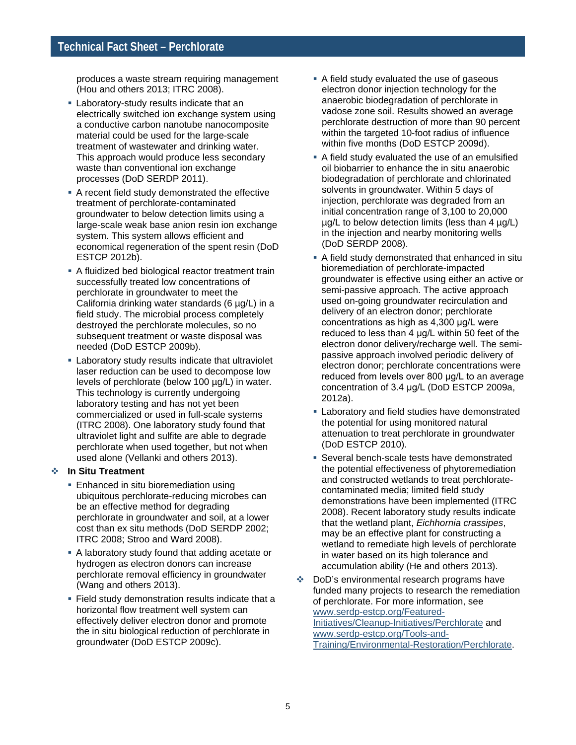produces a waste stream requiring management (Hou and others 2013; ITRC 2008).

- **Example 2** Laboratory-study results indicate that an electrically switched ion exchange system using a conductive carbon nanotube nanocomposite material could be used for the large-scale treatment of wastewater and drinking water. This approach would produce less secondary waste than conventional ion exchange processes (DoD SERDP 2011).
- A recent field study demonstrated the effective treatment of perchlorate-contaminated groundwater to below detection limits using a large-scale weak base anion resin ion exchange system. This system allows efficient and economical regeneration of the spent resin (DoD ESTCP 2012b).
- A fluidized bed biological reactor treatment train successfully treated low concentrations of perchlorate in groundwater to meet the California drinking water standards (6 µg/L) in a field study. The microbial process completely destroyed the perchlorate molecules, so no subsequent treatment or waste disposal was needed (DoD ESTCP 2009b).
- Laboratory study results indicate that ultraviolet laser reduction can be used to decompose low levels of perchlorate (below 100 µg/L) in water. This technology is currently undergoing laboratory testing and has not yet been commercialized or used in full-scale systems (ITRC 2008). One laboratory study found that ultraviolet light and sulfite are able to degrade perchlorate when used together, but not when used alone (Vellanki and others 2013).

#### **In Situ Treatment**

- **Enhanced in situ bioremediation using** ubiquitous perchlorate-reducing microbes can be an effective method for degrading perchlorate in groundwater and soil, at a lower cost than ex situ methods (DoD SERDP 2002; ITRC 2008; Stroo and Ward 2008).
- A laboratory study found that adding acetate or hydrogen as electron donors can increase perchlorate removal efficiency in groundwater (Wang and others 2013).
- **Field study demonstration results indicate that a** horizontal flow treatment well system can effectively deliver electron donor and promote the in situ biological reduction of perchlorate in groundwater (DoD ESTCP 2009c).
- A field study evaluated the use of gaseous electron donor injection technology for the anaerobic biodegradation of perchlorate in vadose zone soil. Results showed an average perchlorate destruction of more than 90 percent within the targeted 10-foot radius of influence within five months (DoD ESTCP 2009d).
- A field study evaluated the use of an emulsified oil biobarrier to enhance the in situ anaerobic biodegradation of perchlorate and chlorinated solvents in groundwater. Within 5 days of injection, perchlorate was degraded from an initial concentration range of 3,100 to 20,000  $\mu$ g/L to below detection limits (less than 4  $\mu$ g/L) in the injection and nearby monitoring wells (DoD SERDP 2008).
- A field study demonstrated that enhanced in situ bioremediation of perchlorate-impacted groundwater is effective using either an active or semi-passive approach. The active approach used on-going groundwater recirculation and delivery of an electron donor; perchlorate concentrations as high as 4,300 μg/L were reduced to less than 4 μg/L within 50 feet of the electron donor delivery/recharge well. The semipassive approach involved periodic delivery of electron donor; perchlorate concentrations were reduced from levels over 800 μg/L to an average concentration of 3.4 μg/L (DoD ESTCP 2009a, 2012a).
- **Example 2** Laboratory and field studies have demonstrated the potential for using monitored natural attenuation to treat perchlorate in groundwater (DoD ESTCP 2010).
- **Several bench-scale tests have demonstrated** the potential effectiveness of phytoremediation and constructed wetlands to treat perchloratecontaminated media; limited field study demonstrations have been implemented (ITRC 2008). Recent laboratory study results indicate that the wetland plant, *Eichhornia crassipes*, may be an effective plant for constructing a wetland to remediate high levels of perchlorate in water based on its high tolerance and accumulation ability (He and others 2013).
- DoD's environmental research programs have funded many projects to research the remediation of perchlorate. For more information, see [www.serdp-estcp.org/Featured-](https://www.serdp-estcp.org/Featured-Initiatives/Cleanup-Initiatives/Perchlorate)[Initiatives/Cleanup-Initiatives/Perchlorate](https://www.serdp-estcp.org/Featured-Initiatives/Cleanup-Initiatives/Perchlorate) and [www.serdp-estcp.org/Tools-and-](https://www.serdp-estcp.org/Tools-and-Training/Environmental-Restoration/Perchlorate)[Training/Environmental-Restoration/Perchlorate.](https://www.serdp-estcp.org/Tools-and-Training/Environmental-Restoration/Perchlorate)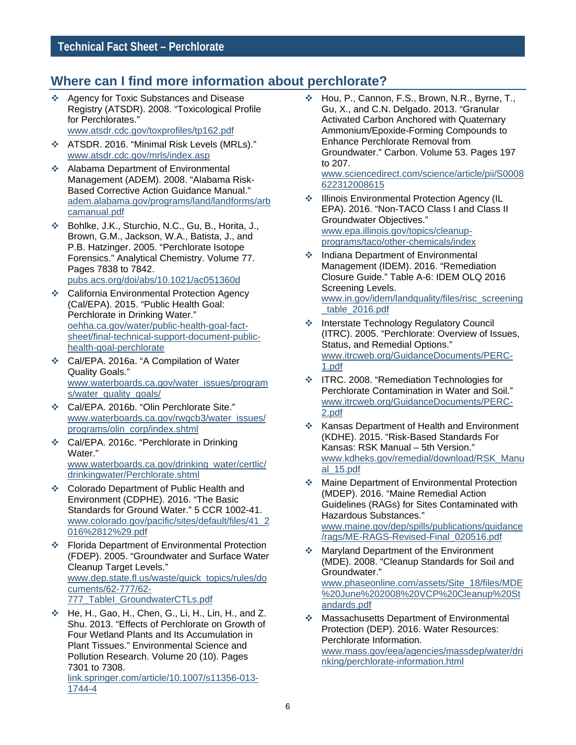### **Where can I find more information about perchlorate?**

❖ Agency for Toxic Substances and Disease Registry (ATSDR). 2008. "Toxicological Profile for Perchlorates." [www.atsdr.cdc.gov/toxprofiles/tp162.pdf](http://www.atsdr.cdc.gov/toxprofiles/tp162.pdf)

ATSDR. 2016. "Minimal Risk Levels (MRLs)."

- [www.atsdr.cdc.gov/mrls/index.asp](http://www.atsdr.cdc.gov/mrls/index.asp) ❖ Alabama Department of Environmental Management (ADEM). 2008. "Alabama Risk-Based Corrective Action Guidance Manual." [adem.alabama.gov/programs/land/landforms/arb](http://adem.alabama.gov/programs/land/landforms/arbcamanual.pdf) [camanual.pdf](http://adem.alabama.gov/programs/land/landforms/arbcamanual.pdf)
- Bohlke, J.K., Sturchio, N.C., Gu, B., Horita, J., Brown, G.M., Jackson, W.A., Batista, J., and P.B. Hatzinger. 2005. "Perchlorate Isotope Forensics." Analytical Chemistry. Volume 77. Pages 7838 to 7842. [pubs.acs.org/doi/abs/10.1021/ac051360d](http://pubs.acs.org/doi/abs/10.1021/ac051360d)
- **↑ California Environmental Protection Agency** (Cal/EPA). 2015. "Public Health Goal: Perchlorate in Drinking Water." [oehha.ca.gov/water/public-health-goal-fact](http://oehha.ca.gov/water/public-health-goal-fact-sheet/final-technical-support-document-public-health-goal-perchlorate)[sheet/final-technical-support-document-public](http://oehha.ca.gov/water/public-health-goal-fact-sheet/final-technical-support-document-public-health-goal-perchlorate)[health-goal-perchlorate](http://oehha.ca.gov/water/public-health-goal-fact-sheet/final-technical-support-document-public-health-goal-perchlorate)
- Cal/EPA. 2016a. "A Compilation of Water Quality Goals." [www.waterboards.ca.gov/water\\_issues/program](http://www.waterboards.ca.gov/water_issues/programs/water_quality_goals/) [s/water\\_quality\\_goals/](http://www.waterboards.ca.gov/water_issues/programs/water_quality_goals/)
- Cal/EPA. 2016b. "Olin Perchlorate Site." [www.waterboards.ca.gov/rwqcb3/water\\_issues/](http://www.waterboards.ca.gov/rwqcb3/water_issues/programs/olin_corp/index.shtml) [programs/olin\\_corp/index.shtml](http://www.waterboards.ca.gov/rwqcb3/water_issues/programs/olin_corp/index.shtml)
- Cal/EPA. 2016c. "Perchlorate in Drinking Water." [www.waterboards.ca.gov/drinking\\_water/certlic/](http://www.waterboards.ca.gov/drinking_water/certlic/drinkingwater/Perchlorate.shtml) [drinkingwater/Perchlorate.shtml](http://www.waterboards.ca.gov/drinking_water/certlic/drinkingwater/Perchlorate.shtml)
- Colorado Department of Public Health and Environment (CDPHE). 2016. "The Basic Standards for Ground Water." 5 CCR 1002-41. [www.colorado.gov/pacific/sites/default/files/41\\_2](https://www.colorado.gov/pacific/sites/default/files/41_2016%2812%29.pdf) [016%2812%29.pdf](https://www.colorado.gov/pacific/sites/default/files/41_2016%2812%29.pdf)
- Florida Department of Environmental Protection (FDEP). 2005. "Groundwater and Surface Water Cleanup Target Levels." [www.dep.state.fl.us/waste/quick\\_topics/rules/do](http://www.dep.state.fl.us/waste/quick_topics/rules/documents/62-777/62-777_TableI_GroundwaterCTLs.pdf) [cuments/62-777/62-](http://www.dep.state.fl.us/waste/quick_topics/rules/documents/62-777/62-777_TableI_GroundwaterCTLs.pdf) [777\\_TableI\\_GroundwaterCTLs.pdf](http://www.dep.state.fl.us/waste/quick_topics/rules/documents/62-777/62-777_TableI_GroundwaterCTLs.pdf)
- ◆ He, H., Gao, H., Chen, G., Li, H., Lin, H., and Z. Shu. 2013. "Effects of Perchlorate on Growth of Four Wetland Plants and Its Accumulation in Plant Tissues." Environmental Science and Pollution Research. Volume 20 (10). Pages 7301 to 7308.

[link.springer.com/article/10.1007/s11356-013-](http://link.springer.com/article/10.1007/s11356-013-1744-4) [1744-4](http://link.springer.com/article/10.1007/s11356-013-1744-4)

 Hou, P., Cannon, F.S., Brown, N.R., Byrne, T., Gu, X., and C.N. Delgado. 2013. "Granular Activated Carbon Anchored with Quaternary Ammonium/Epoxide-Forming Compounds to Enhance Perchlorate Removal from Groundwater." Carbon. Volume 53. Pages 197 to 207.

[www.sciencedirect.com/science/article/pii/S0008](http://www.sciencedirect.com/science/article/pii/S0008622312008615) [622312008615](http://www.sciencedirect.com/science/article/pii/S0008622312008615)

- $\div$  Illinois Environmental Protection Agency (IL EPA). 2016. "Non-TACO Class I and Class II Groundwater Objectives." [www.epa.illinois.gov/topics/cleanup](http://www.epa.illinois.gov/topics/cleanup-programs/taco/other-chemicals/index)[programs/taco/other-chemicals/index](http://www.epa.illinois.gov/topics/cleanup-programs/taco/other-chemicals/index)
- ❖ Indiana Department of Environmental Management (IDEM). 2016. "Remediation Closure Guide." Table A-6: IDEM OLQ 2016 Screening Levels. [www.in.gov/idem/landquality/files/risc\\_screening](http://www.in.gov/idem/landquality/files/risc_screening_table_2016.pdf) [\\_table\\_2016.pdf](http://www.in.gov/idem/landquality/files/risc_screening_table_2016.pdf)
- **Executary Interstate Technology Regulatory Council** (ITRC). 2005. "Perchlorate: Overview of Issues, Status, and Remedial Options." [www.itrcweb.org/GuidanceDocuments/PERC-](http://www.itrcweb.org/GuidanceDocuments/PERC-1.pdf)[1.pdf](http://www.itrcweb.org/GuidanceDocuments/PERC-1.pdf)
- **EXACORET FITRC. 2008. "Remediation Technologies for** Perchlorate Contamination in Water and Soil." [www.itrcweb.org/GuidanceDocuments/PERC-](http://www.itrcweb.org/GuidanceDocuments/PERC-2.pdf)[2.pdf](http://www.itrcweb.org/GuidanceDocuments/PERC-2.pdf)
- ❖ Kansas Department of Health and Environment (KDHE). 2015. "Risk-Based Standards For Kansas: RSK Manual – 5th Version." [www.kdheks.gov/remedial/download/RSK\\_Manu](http://www.kdheks.gov/remedial/download/RSK_Manual_15.pdf) [al\\_15.pdf](http://www.kdheks.gov/remedial/download/RSK_Manual_15.pdf)
- ◆ Maine Department of Environmental Protection (MDEP). 2016. "Maine Remedial Action Guidelines (RAGs) for Sites Contaminated with Hazardous Substances." [www.maine.gov/dep/spills/publications/guidance](http://www.maine.gov/dep/spills/publications/guidance/rags/ME-RAGS-Revised-Final_020516.pdf) [/rags/ME-RAGS-Revised-Final\\_020516.pdf](http://www.maine.gov/dep/spills/publications/guidance/rags/ME-RAGS-Revised-Final_020516.pdf)
- ◆ Maryland Department of the Environment (MDE). 2008. "Cleanup Standards for Soil and Groundwater." [www.phaseonline.com/assets/Site\\_18/files/MDE](http://www.phaseonline.com/assets/Site_18/files/MDE%20June%202008%20VCP%20Cleanup%20Standards.pdf) [%20June%202008%20VCP%20Cleanup%20St](http://www.phaseonline.com/assets/Site_18/files/MDE%20June%202008%20VCP%20Cleanup%20Standards.pdf) [andards.pdf](http://www.phaseonline.com/assets/Site_18/files/MDE%20June%202008%20VCP%20Cleanup%20Standards.pdf)
- Massachusetts Department of Environmental Protection (DEP). 2016. Water Resources: Perchlorate Information. [www.mass.gov/eea/agencies/massdep/water/dri](http://www.mass.gov/eea/agencies/massdep/water/drinking/perchlorate-information.html) [nking/perchlorate-information.html](http://www.mass.gov/eea/agencies/massdep/water/drinking/perchlorate-information.html)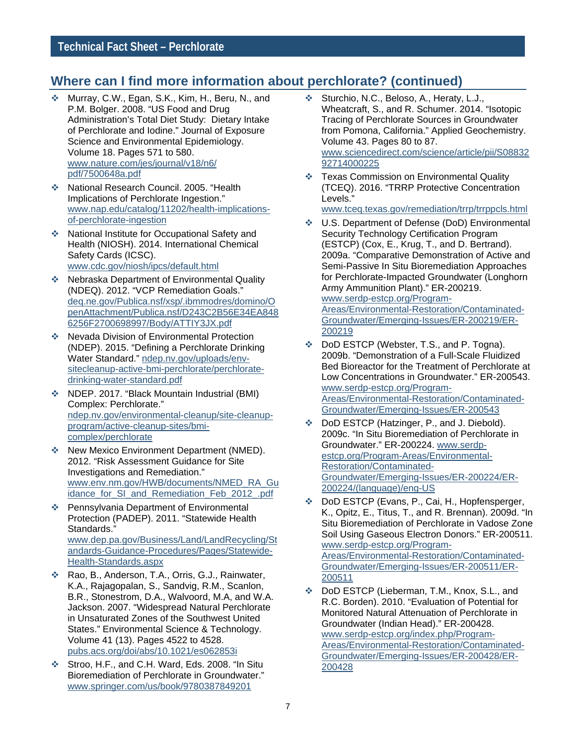#### **Where can I find more information about perchlorate? (continued)**

- Murray, C.W., Egan, S.K., Kim, H., Beru, N., and P.M. Bolger. 2008. "US Food and Drug Administration's Total Diet Study: Dietary Intake of Perchlorate and Iodine." Journal of Exposure Science and Environmental Epidemiology. Volume 18. Pages 571 to 580. [www.nature.com/jes/journal/v18/n6/](http://www.nature.com/jes/journal/v18/n6/pdf/7500648a.pdf) [pdf/7500648a.pdf](http://www.nature.com/jes/journal/v18/n6/pdf/7500648a.pdf)
- National Research Council. 2005. "Health Implications of Perchlorate Ingestion." [www.nap.edu/catalog/11202/health-implications](http://www.nap.edu/catalog/11202/health-implications-of-perchlorate-ingestion)[of-perchlorate-ingestion](http://www.nap.edu/catalog/11202/health-implications-of-perchlorate-ingestion)
- National Institute for Occupational Safety and Health (NIOSH). 2014. International Chemical Safety Cards (ICSC). [www.cdc.gov/niosh/ipcs/default.html](http://www.cdc.gov/niosh/ipcs/default.html)
- **EXACTER** Nebraska Department of Environmental Quality (NDEQ). 2012. "VCP Remediation Goals." [deq.ne.gov/Publica.nsf/xsp/.ibmmodres/domino/O](http://deq.ne.gov/Publica.nsf/xsp/.ibmmodres/domino/OpenAttachment/Publica.nsf/D243C2B56E34EA8486256F2700698997/Body/ATTIY3JX.pdf) [penAttachment/Publica.nsf/D243C2B56E34EA848](http://deq.ne.gov/Publica.nsf/xsp/.ibmmodres/domino/OpenAttachment/Publica.nsf/D243C2B56E34EA8486256F2700698997/Body/ATTIY3JX.pdf) [6256F2700698997/Body/ATTIY3JX.pdf](http://deq.ne.gov/Publica.nsf/xsp/.ibmmodres/domino/OpenAttachment/Publica.nsf/D243C2B56E34EA8486256F2700698997/Body/ATTIY3JX.pdf)
- ◆ Nevada Division of Environmental Protection (NDEP). 2015. "Defining a Perchlorate Drinking Water Standard." [ndep.nv.gov/uploads/env](https://ndep.nv.gov/uploads/env-sitecleanup-active-bmi-perchlorate/perchlorate-drinking-water-standard.pdf)[sitecleanup-active-bmi-perchlorate/perchlorate](https://ndep.nv.gov/uploads/env-sitecleanup-active-bmi-perchlorate/perchlorate-drinking-water-standard.pdf)[drinking-water-standard.pdf](https://ndep.nv.gov/uploads/env-sitecleanup-active-bmi-perchlorate/perchlorate-drinking-water-standard.pdf)
- NDEP. 2017. "Black Mountain Industrial (BMI) Complex: Perchlorate." [ndep.nv.gov/environmental-cleanup/site-cleanup](https://ndep.nv.gov/environmental-cleanup/site-cleanup-program/active-cleanup-sites/bmi-complex/perchlorate)[program/active-cleanup-sites/bmi](https://ndep.nv.gov/environmental-cleanup/site-cleanup-program/active-cleanup-sites/bmi-complex/perchlorate)[complex/perchlorate](https://ndep.nv.gov/environmental-cleanup/site-cleanup-program/active-cleanup-sites/bmi-complex/perchlorate)
- ◆ New Mexico Environment Department (NMED). 2012. "Risk Assessment Guidance for Site Investigations and Remediation." [www.env.nm.gov/HWB/documents/NMED\\_RA\\_Gu](https://www.env.nm.gov/HWB/documents/NMED_RA_Guidance_for_SI_and_Remediation_Feb_2012_.pdf) idance for SI and Remediation Feb 2012 .pdf
- Pennsylvania Department of Environmental Protection (PADEP). 2011. "Statewide Health Standards." [www.dep.pa.gov/Business/Land/LandRecycling/St](http://www.dep.pa.gov/Business/Land/LandRecycling/Standards-Guidance-Procedures/Pages/Statewide-Health-Standards.aspx) [andards-Guidance-Procedures/Pages/Statewide-](http://www.dep.pa.gov/Business/Land/LandRecycling/Standards-Guidance-Procedures/Pages/Statewide-Health-Standards.aspx)[Health-Standards.aspx](http://www.dep.pa.gov/Business/Land/LandRecycling/Standards-Guidance-Procedures/Pages/Statewide-Health-Standards.aspx)
- Rao, B., Anderson, T.A., Orris, G.J., Rainwater, K.A., Rajagopalan, S., Sandvig, R.M., Scanlon, B.R., Stonestrom, D.A., Walvoord, M.A, and W.A. Jackson. 2007. "Widespread Natural Perchlorate in Unsaturated Zones of the Southwest United States." Environmental Science & Technology. Volume 41 (13). Pages 4522 to 4528. [pubs.acs.org/doi/abs/10.1021/es062853i](http://pubs.acs.org/doi/abs/10.1021/es062853i)
- Stroo, H.F., and C.H. Ward, Eds. 2008. "In Situ Bioremediation of Perchlorate in Groundwater." [www.springer.com/us/book/9780387849201](http://www.springer.com/us/book/9780387849201)
- Sturchio, N.C., Beloso, A., Heraty, L.J., Wheatcraft, S., and R. Schumer. 2014. "Isotopic Tracing of Perchlorate Sources in Groundwater from Pomona, California." Applied Geochemistry. Volume 43. Pages 80 to 87. [www.sciencedirect.com/science/article/pii/S08832](http://www.sciencedirect.com/science/article/pii/S0883292714000225) [92714000225](http://www.sciencedirect.com/science/article/pii/S0883292714000225)
- Texas Commission on Environmental Quality (TCEQ). 2016. "TRRP Protective Concentration Levels."

[www.tceq.texas.gov/remediation/trrp/trrppcls.html](https://www.tceq.texas.gov/remediation/trrp/trrppcls.html)

- U.S. Department of Defense (DoD) Environmental Security Technology Certification Program (ESTCP) (Cox, E., Krug, T., and D. Bertrand). 2009a. "Comparative Demonstration of Active and Semi-Passive In Situ Bioremediation Approaches for Perchlorate-Impacted Groundwater (Longhorn Army Ammunition Plant)." ER-200219. [www.serdp-estcp.org/Program-](https://www.serdp-estcp.org/Program-Areas/Environmental-Restoration/Contaminated-Groundwater/Emerging-Issues/ER-200219/ER-200219)[Areas/Environmental-Restoration/Contaminated-](https://www.serdp-estcp.org/Program-Areas/Environmental-Restoration/Contaminated-Groundwater/Emerging-Issues/ER-200219/ER-200219)[Groundwater/Emerging-Issues/ER-200219/ER-](https://www.serdp-estcp.org/Program-Areas/Environmental-Restoration/Contaminated-Groundwater/Emerging-Issues/ER-200219/ER-200219)[200219](https://www.serdp-estcp.org/Program-Areas/Environmental-Restoration/Contaminated-Groundwater/Emerging-Issues/ER-200219/ER-200219)
- DoD ESTCP (Webster, T.S., and P. Togna). 2009b. "Demonstration of a Full-Scale Fluidized Bed Bioreactor for the Treatment of Perchlorate at Low Concentrations in Groundwater." ER-200543. [www.serdp-estcp.org/Program-](https://www.serdp-estcp.org/Program-Areas/Environmental-Restoration/Contaminated-Groundwater/Emerging-Issues/ER-200543)[Areas/Environmental-Restoration/Contaminated-](https://www.serdp-estcp.org/Program-Areas/Environmental-Restoration/Contaminated-Groundwater/Emerging-Issues/ER-200543)[Groundwater/Emerging-Issues/ER-200543](https://www.serdp-estcp.org/Program-Areas/Environmental-Restoration/Contaminated-Groundwater/Emerging-Issues/ER-200543)
- DoD ESTCP (Hatzinger, P., and J. Diebold). 2009c. "In Situ Bioremediation of Perchlorate in Groundwater." ER-200224. [www.serdp](https://www.serdp-estcp.org/Program-Areas/Environmental-Restoration/Contaminated-Groundwater/Emerging-Issues/ER-200224/ER-200224/(language)/eng-US)[estcp.org/Program-Areas/Environmental-](https://www.serdp-estcp.org/Program-Areas/Environmental-Restoration/Contaminated-Groundwater/Emerging-Issues/ER-200224/ER-200224/(language)/eng-US)[Restoration/Contaminated-](https://www.serdp-estcp.org/Program-Areas/Environmental-Restoration/Contaminated-Groundwater/Emerging-Issues/ER-200224/ER-200224/(language)/eng-US)[Groundwater/Emerging-Issues/ER-200224/ER-](https://www.serdp-estcp.org/Program-Areas/Environmental-Restoration/Contaminated-Groundwater/Emerging-Issues/ER-200224/ER-200224/(language)/eng-US)[200224/\(language\)/eng-US](https://www.serdp-estcp.org/Program-Areas/Environmental-Restoration/Contaminated-Groundwater/Emerging-Issues/ER-200224/ER-200224/(language)/eng-US)
- DoD ESTCP (Evans, P., Cai, H., Hopfensperger, K., Opitz, E., Titus, T., and R. Brennan). 2009d. "In Situ Bioremediation of Perchlorate in Vadose Zone Soil Using Gaseous Electron Donors." ER-200511. [www.serdp-estcp.org/Program-](https://www.serdp-estcp.org/Program-Areas/Environmental-Restoration/Contaminated-Groundwater/Emerging-Issues/ER-200511/ER-200511)[Areas/Environmental-Restoration/Contaminated-](https://www.serdp-estcp.org/Program-Areas/Environmental-Restoration/Contaminated-Groundwater/Emerging-Issues/ER-200511/ER-200511)[Groundwater/Emerging-Issues/ER-200511/ER-](https://www.serdp-estcp.org/Program-Areas/Environmental-Restoration/Contaminated-Groundwater/Emerging-Issues/ER-200511/ER-200511)[200511](https://www.serdp-estcp.org/Program-Areas/Environmental-Restoration/Contaminated-Groundwater/Emerging-Issues/ER-200511/ER-200511)
- DoD ESTCP (Lieberman, T.M., Knox, S.L., and R.C. Borden). 2010. "Evaluation of Potential for Monitored Natural Attenuation of Perchlorate in Groundwater (Indian Head)." ER-200428. [www.serdp-estcp.org/index.php/Program-](https://www.serdp-estcp.org/index.php/Program-Areas/Environmental-Restoration/Contaminated-Groundwater/Emerging-Issues/ER-200428/ER-200428)[Areas/Environmental-Restoration/Contaminated-](https://www.serdp-estcp.org/index.php/Program-Areas/Environmental-Restoration/Contaminated-Groundwater/Emerging-Issues/ER-200428/ER-200428)[Groundwater/Emerging-Issues/ER-200428/ER-](https://www.serdp-estcp.org/index.php/Program-Areas/Environmental-Restoration/Contaminated-Groundwater/Emerging-Issues/ER-200428/ER-200428)[200428](https://www.serdp-estcp.org/index.php/Program-Areas/Environmental-Restoration/Contaminated-Groundwater/Emerging-Issues/ER-200428/ER-200428)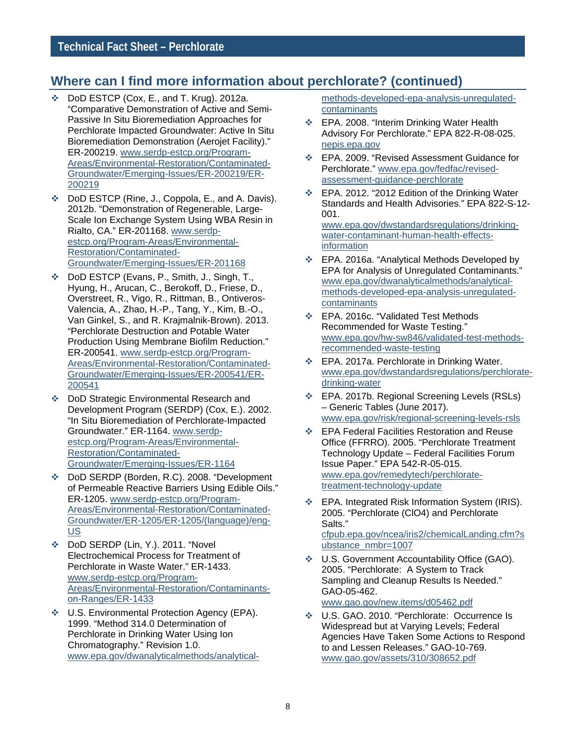#### **Where can I find more information about perchlorate? (continued)**

- DoD ESTCP (Cox, E., and T. Krug). 2012a. "Comparative Demonstration of Active and Semi-Passive In Situ Bioremediation Approaches for Perchlorate Impacted Groundwater: Active In Situ Bioremediation Demonstration (Aerojet Facility)." ER-200219. [www.serdp-estcp.org/Program-](https://www.serdp-estcp.org/Program-Areas/Environmental-Restoration/Contaminated-Groundwater/Emerging-Issues/ER-200219/ER-200219)[Areas/Environmental-Restoration/Contaminated-](https://www.serdp-estcp.org/Program-Areas/Environmental-Restoration/Contaminated-Groundwater/Emerging-Issues/ER-200219/ER-200219)[Groundwater/Emerging-Issues/ER-200219/ER-](https://www.serdp-estcp.org/Program-Areas/Environmental-Restoration/Contaminated-Groundwater/Emerging-Issues/ER-200219/ER-200219)[200219](https://www.serdp-estcp.org/Program-Areas/Environmental-Restoration/Contaminated-Groundwater/Emerging-Issues/ER-200219/ER-200219)
- ◆ DoD ESTCP (Rine, J., Coppola, E., and A. Davis). 2012b. "Demonstration of Regenerable, Large-Scale Ion Exchange System Using WBA Resin in Rialto, CA." ER-201168. [www.serdp](https://www.serdp-estcp.org/Program-Areas/Environmental-Restoration/Contaminated-Groundwater/Emerging-Issues/ER-201168)[estcp.org/Program-Areas/Environmental-](https://www.serdp-estcp.org/Program-Areas/Environmental-Restoration/Contaminated-Groundwater/Emerging-Issues/ER-201168)[Restoration/Contaminated-](https://www.serdp-estcp.org/Program-Areas/Environmental-Restoration/Contaminated-Groundwater/Emerging-Issues/ER-201168)[Groundwater/Emerging-Issues/ER-201168](https://www.serdp-estcp.org/Program-Areas/Environmental-Restoration/Contaminated-Groundwater/Emerging-Issues/ER-201168)
- DoD ESTCP (Evans, P., Smith, J., Singh, T., Hyung, H., Arucan, C., Berokoff, D., Friese, D., Overstreet, R., Vigo, R., Rittman, B., Ontiveros-Valencia, A., Zhao, H.-P., Tang, Y., Kim, B.-O., Van Ginkel, S., and R. Krajmalnik-Brown). 2013. "Perchlorate Destruction and Potable Water Production Using Membrane Biofilm Reduction." ER-200541. [www.serdp-estcp.org/Program-](https://www.serdp-estcp.org/Program-Areas/Environmental-Restoration/Contaminated-Groundwater/Emerging-Issues/ER-200541/ER-200541)[Areas/Environmental-Restoration/Contaminated-](https://www.serdp-estcp.org/Program-Areas/Environmental-Restoration/Contaminated-Groundwater/Emerging-Issues/ER-200541/ER-200541)[Groundwater/Emerging-Issues/ER-200541/ER-](https://www.serdp-estcp.org/Program-Areas/Environmental-Restoration/Contaminated-Groundwater/Emerging-Issues/ER-200541/ER-200541)[200541](https://www.serdp-estcp.org/Program-Areas/Environmental-Restoration/Contaminated-Groundwater/Emerging-Issues/ER-200541/ER-200541)
- DoD Strategic Environmental Research and Development Program (SERDP) (Cox, E.). 2002. "In Situ Bioremediation of Perchlorate-Impacted Groundwater." ER-1164[. www.serdp](https://www.serdp-estcp.org/Program-Areas/Environmental-Restoration/Contaminated-Groundwater/Emerging-Issues/ER-1164)[estcp.org/Program-Areas/Environmental-](https://www.serdp-estcp.org/Program-Areas/Environmental-Restoration/Contaminated-Groundwater/Emerging-Issues/ER-1164)[Restoration/Contaminated-](https://www.serdp-estcp.org/Program-Areas/Environmental-Restoration/Contaminated-Groundwater/Emerging-Issues/ER-1164)[Groundwater/Emerging-Issues/ER-1164](https://www.serdp-estcp.org/Program-Areas/Environmental-Restoration/Contaminated-Groundwater/Emerging-Issues/ER-1164)
- DoD SERDP (Borden, R.C). 2008. "Development of Permeable Reactive Barriers Using Edible Oils." ER-1205. [www.serdp-estcp.org/Program-](https://www.serdp-estcp.org/Program-Areas/Environmental-Restoration/Contaminated-Groundwater/ER-1205/ER-1205/(language)/eng-US)[Areas/Environmental-Restoration/Contaminated-](https://www.serdp-estcp.org/Program-Areas/Environmental-Restoration/Contaminated-Groundwater/ER-1205/ER-1205/(language)/eng-US)[Groundwater/ER-1205/ER-1205/\(language\)/eng-](https://www.serdp-estcp.org/Program-Areas/Environmental-Restoration/Contaminated-Groundwater/ER-1205/ER-1205/(language)/eng-US)[US](https://www.serdp-estcp.org/Program-Areas/Environmental-Restoration/Contaminated-Groundwater/ER-1205/ER-1205/(language)/eng-US)
- DoD SERDP (Lin, Y.). 2011. "Novel Electrochemical Process for Treatment of Perchlorate in Waste Water." ER-1433. [www.serdp-estcp.org/Program-](https://www.serdp-estcp.org/Program-Areas/Environmental-Restoration/Contaminants-on-Ranges/ER-1433)[Areas/Environmental-Restoration/Contaminants](https://www.serdp-estcp.org/Program-Areas/Environmental-Restoration/Contaminants-on-Ranges/ER-1433)[on-Ranges/ER-1433](https://www.serdp-estcp.org/Program-Areas/Environmental-Restoration/Contaminants-on-Ranges/ER-1433)
- U.S. Environmental Protection Agency (EPA). 1999. "Method 314.0 Determination of Perchlorate in Drinking Water Using Ion Chromatography." Revision 1.0. [www.epa.gov/dwanalyticalmethods/analytical-](https://www.epa.gov/dwanalyticalmethods/analytical-methods-developed-epa-analysis-unregulated-contaminants)

[methods-developed-epa-analysis-unregulated](https://www.epa.gov/dwanalyticalmethods/analytical-methods-developed-epa-analysis-unregulated-contaminants)[contaminants](https://www.epa.gov/dwanalyticalmethods/analytical-methods-developed-epa-analysis-unregulated-contaminants)

- **EPA. 2008. "Interim Drinking Water Health** Advisory For Perchlorate." EPA 822-R-08-025. [nepis.epa.gov](http://nepis.epa.gov/Exe/ZyNET.exe/P1004X7Q.TXT?ZyActionD=ZyDocument&Client=EPA&Index=2006+Thru+2010&Docs=&Query=&Time=&EndTime=&SearchMethod=1&TocRestrict=n&Toc=&TocEntry=&QField=&QFieldYear=&QFieldMonth=&QFieldDay=&IntQFieldOp=0&ExtQFieldOp=0&XmlQuery=&File=D%3A%5Czyfiles%5CIndex%20Data%5C06thru10%5CTxt%5C00000010%5CP1004X7Q.txt&User=ANONYMOUS&Password=anonymous&SortMethod=h%7C-&MaximumDocuments=1&FuzzyDegree=0&ImageQuality=r75g8/r75g8/x150y150g16/i425&Display=p%7Cf&DefSeekPage=x&SearchBack=ZyActionL&Back=ZyActionS&BackDesc=Results%20page&MaximumPages=1&ZyEntry=1&SeekPage=x&ZyPURL)
- EPA. 2009. "Revised Assessment Guidance for Perchlorate." [www.epa.gov/fedfac/revised](https://www.epa.gov/fedfac/revised-assessment-guidance-perchlorate)[assessment-guidance-perchlorate](https://www.epa.gov/fedfac/revised-assessment-guidance-perchlorate)
- EPA. 2012. "2012 Edition of the Drinking Water Standards and Health Advisories." EPA 822-S-12- 001. [www.epa.gov/dwstandardsregulations/drinking](https://www.epa.gov/dwstandardsregulations/drinking-water-contaminant-human-health-effects-information)[water-contaminant-human-health-effects-](https://www.epa.gov/dwstandardsregulations/drinking-water-contaminant-human-health-effects-information)

[information](https://www.epa.gov/dwstandardsregulations/drinking-water-contaminant-human-health-effects-information)

- EPA. 2016a. "Analytical Methods Developed by EPA for Analysis of Unregulated Contaminants." [www.epa.gov/dwanalyticalmethods/analytical](https://www.epa.gov/dwanalyticalmethods/analytical-methods-developed-epa-analysis-unregulated-contaminants)[methods-developed-epa-analysis-unregulated](https://www.epa.gov/dwanalyticalmethods/analytical-methods-developed-epa-analysis-unregulated-contaminants)[contaminants](https://www.epa.gov/dwanalyticalmethods/analytical-methods-developed-epa-analysis-unregulated-contaminants)
- EPA. 2016c. "Validated Test Methods Recommended for Waste Testing." [www.epa.gov/hw-sw846/validated-test-methods](https://www.epa.gov/hw-sw846/validated-test-methods-recommended-waste-testing)[recommended-waste-testing](https://www.epa.gov/hw-sw846/validated-test-methods-recommended-waste-testing)
- EPA. 2017a. Perchlorate in Drinking Water. [www.epa.gov/dwstandardsregulations/perchlorate](https://www.epa.gov/dwstandardsregulations/perchlorate-drinking-water)[drinking-water](https://www.epa.gov/dwstandardsregulations/perchlorate-drinking-water)
- EPA. 2017b. Regional Screening Levels (RSLs) – Generic Tables (June 2017). [www.epa.gov/risk/regional-screening-levels-rsls](https://www.epa.gov/risk/regional-screening-levels-rsls)
- EPA Federal Facilities Restoration and Reuse Office (FFRRO). 2005. "Perchlorate Treatment Technology Update – Federal Facilities Forum Issue Paper." EPA 542-R-05-015. [www.epa.gov/remedytech/perchlorate](http://www.epa.gov/remedytech/perchlorate-treatment-technology-update)[treatment-technology-update](http://www.epa.gov/remedytech/perchlorate-treatment-technology-update)
- EPA. Integrated Risk Information System (IRIS). 2005. "Perchlorate (ClO4) and Perchlorate Salts." [cfpub.epa.gov/ncea/iris2/chemicalLanding.cfm?s](https://cfpub.epa.gov/ncea/iris2/chemicalLanding.cfm?substance_nmbr=1007)

[ubstance\\_nmbr=1007](https://cfpub.epa.gov/ncea/iris2/chemicalLanding.cfm?substance_nmbr=1007)

- U.S. Government Accountability Office (GAO). 2005. "Perchlorate: A System to Track Sampling and Cleanup Results Is Needed." GAO-05-462. [www.gao.gov/new.items/d05462.pdf](http://www.gao.gov/new.items/d05462.pdf)
- U.S. GAO. 2010. "Perchlorate: Occurrence Is Widespread but at Varying Levels; Federal Agencies Have Taken Some Actions to Respond to and Lessen Releases." GAO-10-769. [www.gao.gov/assets/310/308652.pdf](http://www.gao.gov/assets/310/308652.pdf)